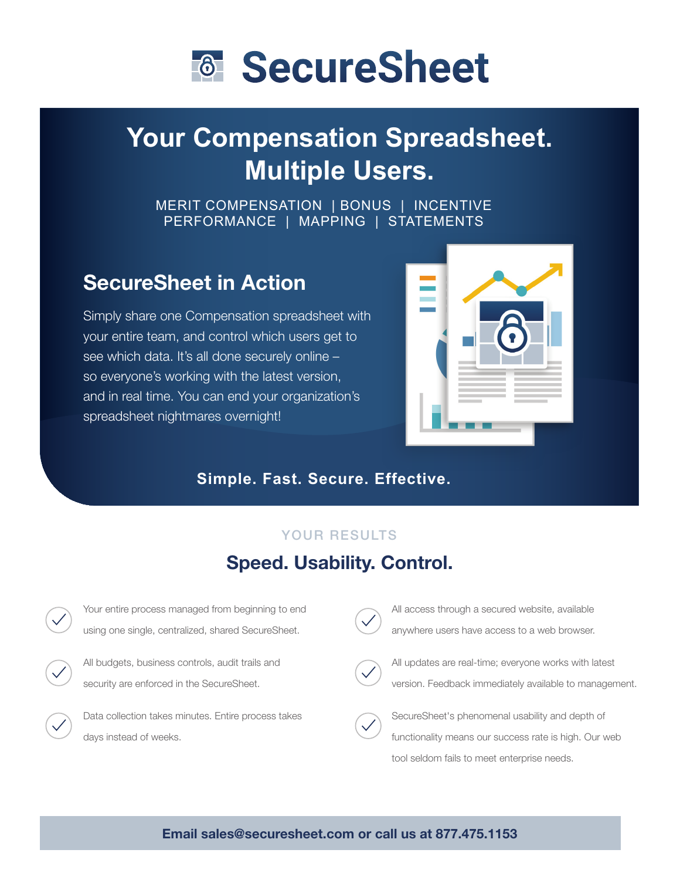

# **Your Compensation Spreadsheet. Multiple Users.**

MERIT COMPENSATION | BONUS | INCENTIVE PERFORMANCE | MAPPING | STATEMENTS

## SecureSheet in Action

Simply share one Compensation spreadsheet with your entire team, and control which users get to see which data. It's all done securely online – so everyone's working with the latest version, and in real time. You can end your organization's spreadsheet nightmares overnight!



### **Simple. Fast. Secure. Effective.**

#### YOUR RESULTS

### Speed. Usability. Control.



All access through a secured website, available anywhere users have access to a web browser.



All updates are real-time; everyone works with latest version. Feedback immediately available to management.



SecureSheet's phenomenal usability and depth of functionality means our success rate is high. Our web tool seldom fails to meet enterprise needs.

#### Email sales@securesheet.com or call us at 877.475.1153